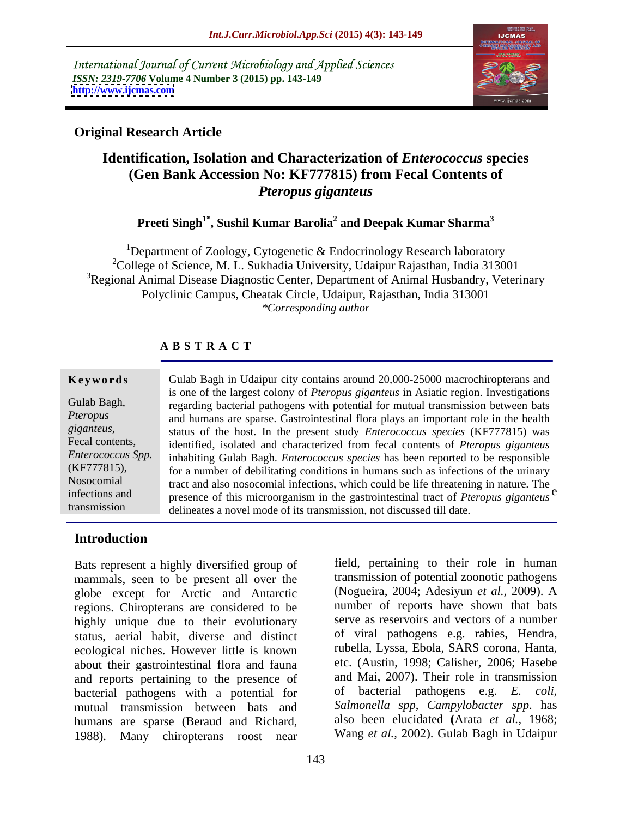International Journal of Current Microbiology and Applied Sciences *ISSN: 2319-7706* **Volume 4 Number 3 (2015) pp. 143-149 <http://www.ijcmas.com>**



## **Original Research Article**

# **Identification, Isolation and Characterization of** *Enterococcus* **species (Gen Bank Accession No: KF777815) from Fecal Contents of**  *Pteropus giganteus*

## **Preeti Singh1\* , Sushil Kumar Barolia<sup>2</sup> and Deepak Kumar Sharma<sup>3</sup>**

<sup>1</sup>Department of Zoology, Cytogenetic & Endocrinology Research laboratory <sup>2</sup>College of Science, M. L. Sukhadia University, Udaipur Rajasthan, India 313001 <sup>3</sup>Regional Animal Disease Diagnostic Center, Department of Animal Husbandry, Veterinary Polyclinic Campus, Cheatak Circle, Udaipur, Rajasthan, India 313001 *\*Corresponding author*

### **A B S T R A C T**

transmission

infections and presence of this microorganism in the gastrointestinal tract of *Pteropus* giganteus<sup>e</sup> responses that the control of the control of the control of the control of the control of the control of the control of the control of the control of the control of the control of the control of the control of the control Gulab Bagh in Udaipur city contains around 20,000-25000 macrochiropterans and is one of the largest colony of *Pteropus giganteus* in Asiatic region. Investigations Gulab Bagh, regarding bacterial pathogens with potential for mutual transmission between bats and humans are sparse. Gastrointestinal flora plays an important role in the health *Pteropus*  status of the host. In the present study *Enterococcus species* (KF777815) was *giganteus*, Fecal contents, identified, isolated and characterized from fecal contents of *Pteropus giganteus* inhabiting Gulab Bagh. *Enterococcus species* has been reported to be responsible *Enterococcus Spp.* for a number of debilitating conditions in humans such as infections of the urinary (KF777815), Nosocomial tract and also nosocomial infections, which could be life threatening in nature. The **Example 18** Gulab Bagh in Udaipur city contains around 20,000-25000 macrochiropterans and<br>
is one of the largest colony of *Pteropus giganteus* in Asiatic region. Investigations<br> *Pteropus*<br> *Regarding* bacterial pathogen

## **Introduction**

Bats represent a highly diversified group of mammals, seen to be present all over the globe except for Arctic and Antarctic regions. Chiropterans are considered to be highly unique due to their evolutionary status, aerial habit, diverse and distinct of viral pathogens e.g. rabies, Hendra, ecological niches However little is known tubella, Lyssa, Ebola, SARS corona, Hanta, ecological niches. However little is known rubella, Lyssa, Ebola, SARS corona, Hanta,<br>about their gastrointestinal flora and fauna etc. (Austin, 1998; Calisher, 2006; Hasebe about their gastrointestinal flora and fauna and reports pertaining to the presence of bacterial pathogens with a potential for mutual transmission between bats and humans are sparse (Beraud and Richard, 1988). Many chiropterans roost near

field, pertaining to their role in human transmission of potential zoonotic pathogens (Nogueira, 2004; Adesiyun *et al.,* 2009). A number of reports have shown that bats serve as reservoirs and vectors of a number of viral pathogens e.g. rabies, Hendra, rubella, Lyssa, Ebola, SARS corona, Hanta, etc. (Austin, 1998; Calisher, 2006; Hasebe and Mai, 2007). Their role in transmission of bacterial pathogens e.g. *E. coli, Salmonella spp*, *Campylobacter spp*. has also been elucidated **(**Arata *et al.,* 1968; Wang *et al.,* 2002). Gulab Bagh in Udaipur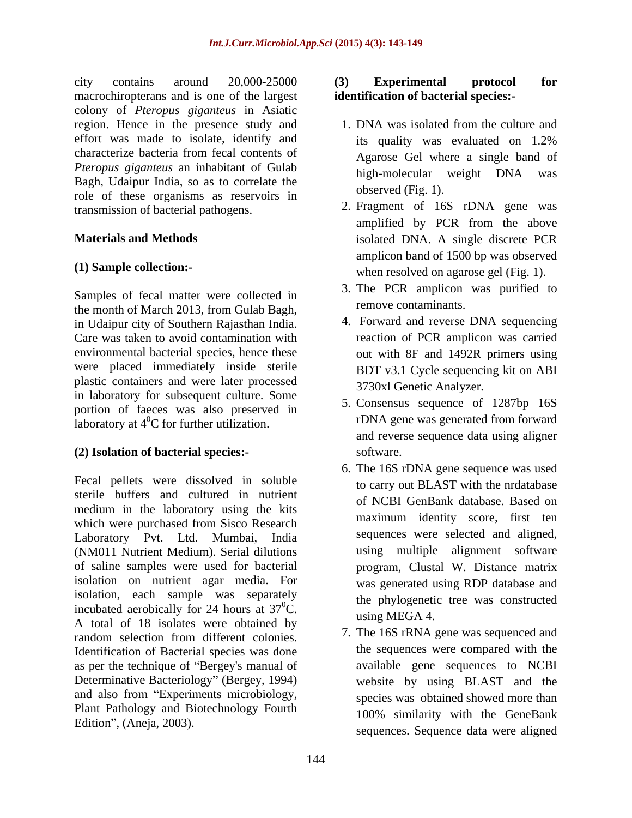city contains around 20,000-25000 (3) Experimental protocol for macrochiropterans and is one of the largest colony of *Pteropus giganteus* in Asiatic region. Hence in the presence study and effort was made to isolate, identify and its quality was evaluated on 1.2% characterize bacteria from fecal contents of *Pteropus giganteus* an inhabitant of Gulab high-molecular weight DNA was Bagh, Udaipur India, so as to correlate the role of these organisms as reservoirs in

Samples of fecal matter were collected in the month of March 2013, from Gulab Bagh, in Udaipur city of Southern Rajasthan India. Care was taken to avoid contamination with environmental bacterial species, hence these were placed immediately inside sterile plastic containers and were later processed in laboratory for subsequent culture. Some portion of faeces was also preserved in laboratory at  $4^0C$  for further utilization.

## **(2) Isolation of bacterial species:-**

Fecal pellets were dissolved in soluble sterile buffers and cultured in nutrient medium in the laboratory using the kits which were purchased from Sisco Research Laboratory Pvt. Ltd. Mumbai, India (NM011 Nutrient Medium). Serial dilutions of saline samples were used for bacterial isolation on nutrient agar media. For isolation, each sample was separately incubated aerobically for 24 hours at  $37^0C$ . A total of 18 isolates were obtained by random selection from different colonies.<br>All the los frame was sequenced and Identification of Bacterial species was done as per the technique of "Bergey's manual of Determinative Bacteriology" (Bergey, 1994) website by using BLAST and the and also from "Experiments microbiology, Plant Pathology and Biotechnology Fourth<br>Edition", (Aneja, 2003). Edition", (Aneja, 2003).

## **(3) Experimental protocol for identification of bacterial species:-**

- 1. DNA was isolated from the culture and its quality was evaluated on 1.2% Agarose Gel where a single band of high-molecular weight DNA was observed (Fig. 1).
- transmission of bacterial pathogens.<br>2. Fragment of 16S rDNA gene was<br>amplified by PCR from the above **Materials and Methods** isolated DNA. A single discrete PCR **(1) Sample collection:-** when resolved on agarose gel (Fig. 1). 2. Fragment of 16S rDNA gene was amplified by PCR from the above amplicon band of 1500 bp was observed
	- 3. The PCR amplicon was purified to remove contaminants.
	- 4. Forward and reverse DNA sequencing reaction of PCR amplicon was carried out with 8F and 1492R primers using BDT v3.1 Cycle sequencing kit on ABI 3730xl Genetic Analyzer.
	- 5. Consensus sequence of 1287bp 16S rDNA gene was generated from forward and reverse sequence data using aligner software.
	- ${}^{0}C.$  the phylogenetic tree was constructed<br> ${}^{0}C.$  using MECA 4. 6. The 16S rDNA gene sequence was used to carry out BLAST with the nrdatabase of NCBI GenBank database. Based on maximum identity score, first ten sequences were selected and aligned, using multiple alignment software program, Clustal W. Distance matrix was generated using RDP database and using MEGA 4.
		- 7. The 16S rRNA gene was sequenced and the sequences were compared with the available gene sequences to NCBI species was obtained showed more than 100% similarity with the GeneBank sequences. Sequence data were aligned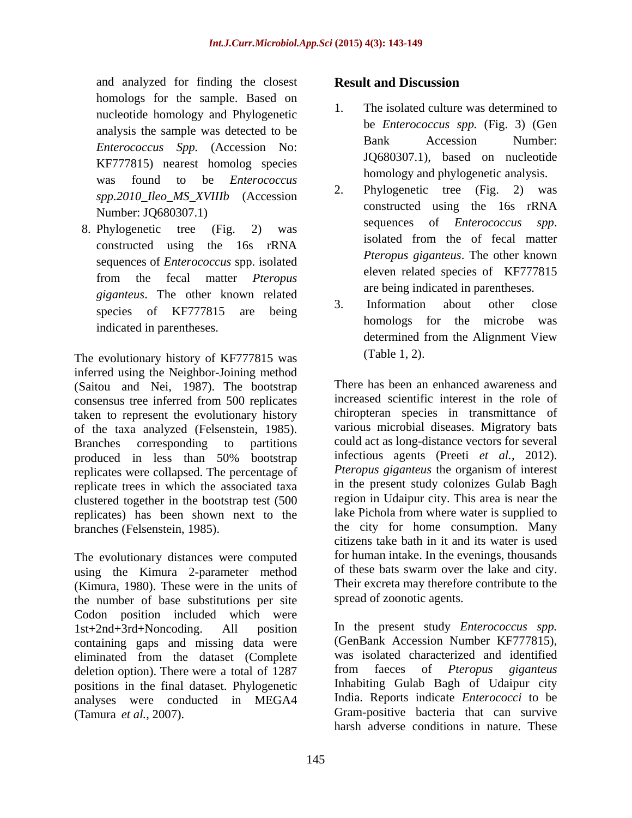and analyzed for finding the closest **Result and Discussion** homologs for the sample. Based on nucleotide homology and Phylogenetic *Enterococcus Spp.* (Accession No: KF777815) nearest homolog species was found to be *Enterococcus* **Enterococcus Extending to the** *Enterococcus* **Extending to Extending to Extending to Extending the Contract of Contract Contract on Contract Contract Contract Contract Contract Contract C** 

sequences of *Enterococcus* spp. isolated *giganteus*. The other known related<br>3. Information about other close

The evolutionary history of KF777815 was (Table 1, 2). inferred using the Neighbor-Joining method (Saitou and Nei, 1987). The bootstrap consensus tree inferred from 500 replicates taken to represent the evolutionary history of the taxa analyzed (Felsenstein, 1985). Branches corresponding to partitions could act as long-distance vectors for several produced in less than 50% bootstrap infectious agents (Preeti *et al.*, 2012). replicates were collapsed. The percentage of replicate trees in which the associated taxa clustered together in the bootstrap test (500 replicates) has been shown next to the branches (Felsenstein, 1985). branches (Felsenstein, 1985). the city for home consumption. Many

The evolutionary distances were computed using the Kimura 2-parameter method (Kimura, 1980). These were in the units of the number of base substitutions per site Codon position included which were 1st+2nd+3rd+Noncoding. All position In the present study *Enterococcus spp.* containing gaps and missing data were (GenBank Accession Number KF777815),<br>eliminated from the dataset (Complete) was isolated characterized and identified eliminated from the dataset (Complete was isolated characterized and identified deletion option) There were a total of 1287 from facces of *Pteropus giganteus* deletion option). There were a total of 1287 positions in the final dataset. Phylogenetic analyses were conducted in MEGA4 India. Reports indicate *Enterococci* to be

## **Result and Discussion**

- analysis the sample was detected to be the *Enterococcus spp.* (Fig. 5) (Gen The isolated culture was determined to be *Enterococcus spp.* (Fig. 3) (Gen Bank Accession Number: JQ680307.1), based on nucleotide homology and phylogenetic analysis.
- *spp.2010\_Ileo\_MS\_XVIIIb* (Accession 2. Phylogenetic tree (Fig. 2) was<br>constructed using the 16s rRNA Number: JQ680307.1)<br>
Sequences of *Enterococcus spp*. 8. Phylogenetic tree  $(Fig. 2)$  was sequences of *Enterococcus spp*. constructed using the 16s rRNA settled in the constructed using the 16s rRNA from the fecal matter *Pteropus*  Phylogenetic tree (Fig. constructed using the 16s rRNA sequences of *Enterococcus spp*. isolated from the of fecal matter *Pteropus giganteus*. The other known eleven related species of KF777815 are being indicated in parentheses.
	- species of KF777815 are being 3. Information about other close indicated in parentheses.<br>determined from the Alignment View 3. Information about other close homologs for the microbe was determined from the Alignment View (Table 1, 2).

There has been an enhanced awareness and increased scientific interest in the role of chiropteran species in transmittance of various microbial diseases. Migratory bats infectious agents (Preeti *et al.,* 2012). *Pteropus giganteus* the organism of interest in the present study colonizes Gulab Bagh region in Udaipur city. This area is near the lake Pichola from where water is supplied to citizens take bath in it and its water is used for human intake. In the evenings, thousands of these bats swarm over the lake and city. Their excreta may therefore contribute to the spread of zoonotic agents.

(Tamura *et al.,* 2007). Gram-positive bacteria that can survive (GenBank Accession Number KF777815), was isolated characterized and identified from faeces of *Pteropus giganteus* Inhabiting Gulab Bagh of Udaipur city harsh adverse conditions in nature. These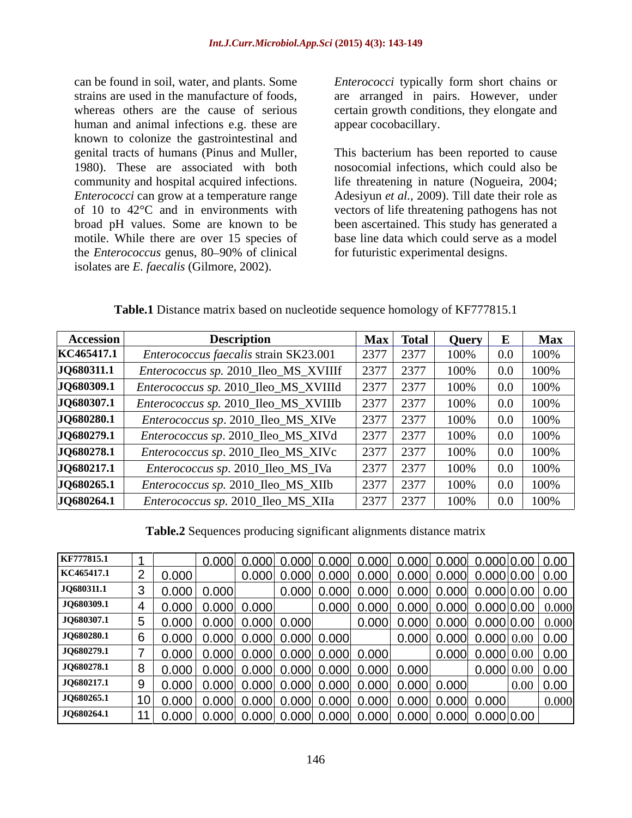human and animal infections e.g. these are known to colonize the gastrointestinal and motile. While there are over 15 species of the *Enterococcus* genus, 80–90% of clinical for futuristic experimental designs. isolates are *E. faecalis* (Gilmore, 2002).

can be found in soil, water, and plants. Some *Enterococci* typically form short chains or strains are used in the manufacture of foods, are arranged in pairs. However, under whereas others are the cause of serious certain growth conditions, they elongate and appear cocobacillary.

genital tracts of humans (Pinus and Muller, This bacterium has been reported to cause 1980). These are associated with both nosocomial infections, which could also be community and hospital acquired infections. life threatening in nature (Nogueira, 2004; *Enterococci* can grow at a temperature range Adesiyun *et al.,* 2009). Till date their role as of 10 to 42°C and in environments with vectors of life threatening pathogens has not broad pH values. Some are known to be been ascertained. This study has generated a base line data which could serve as a model for futuristic experimental designs.

| <b>Accession</b> | <b>Description</b>                           |              | <b>Query</b> E |                                                                    | <b>Max</b> |
|------------------|----------------------------------------------|--------------|----------------|--------------------------------------------------------------------|------------|
| KC465417.1       | <i>Enterococcus faecalis strain SK23.001</i> | 2377         | 100%           | 0.0                                                                | 100%       |
| JQ680311.1       | Enterococcus sp. 2010_Ileo_MS_XVIIIf         |              | 100%           | $\vert 0.0 \vert$                                                  | 100%       |
| JQ680309.1       | Enterococcus sp. 2010_Ileo_MS_XVIIId         |              | 100%           | $0.0$ 100%                                                         |            |
| JQ680307.1       | Enterococcus sp. 2010_Ileo_MS_XVIIIb         |              | 100%           | $0.0$ 100%                                                         |            |
| JQ680280.1       | Enterococcus sp. 2010_Ileo_MS_XIVe           |              | 100%           | $\perp$ 0.0                                                        | 100%       |
| JQ680279.1       | Enterococcus sp. 2010_Ileo_MS_XIVd           | $12377$ 2377 | 100%           | $0.0$ 100%                                                         |            |
| JQ680278.1       | Enterococcus sp. 2010_Ileo_MS_XIVc           |              |                | $100\%$ 0.0 100\%                                                  |            |
| JQ680217.1       | Enterococcus sp. 2010_Ileo_MS_IVa            | 23 I I       | 100%           | $0.0$ 100%                                                         |            |
| JQ680265.1       | Enterococcus sp. 2010_Ileo_MS_XIIb           | 2377 2377    | 100%           | $\begin{array}{ c c c c c } \hline 0.0 & 100\% \hline \end{array}$ |            |
| JQ680264.1       | Enterococcus sp. 2010_Ileo_MS_XIIa           |              |                | $100\%$ 0.0 100\%                                                  |            |

**Table.1** Distance matrix based on nucleotide sequence homology of KF777815.1

**Table.2** Sequences producing significant alignments distance matrix

| KF777815.1        |                     | 0.000 C                                                     | 0.000 0.000             |       | 0.000 | 0.000                                                                     | $\vert$ 0.000 0.000 0.00                   | <u>0.00</u> |
|-------------------|---------------------|-------------------------------------------------------------|-------------------------|-------|-------|---------------------------------------------------------------------------|--------------------------------------------|-------------|
| KC465417.1        | 0.000               |                                                             |                         |       |       | $[0.000]$ $[0.000]$ $[0.000]$ $[0.000]$ $[0.000]$ $[0.000]$               |                                            | 0.00        |
| JQ680311.1        | 0.000               | 0.000                                                       | $0.000$ $0.000$ $0.000$ |       |       | $\vert$ 0.000 $\vert$ 0.000 $\vert$ 0.000 $\vert$ 0.00 $\vert$            |                                            | 0.00        |
| <b>JQ680309.1</b> | 0.000               | 0.000 0.000                                                 |                         | 0.000 |       | $[0.000]$ $[0.000]$ $[0.000]$ $[0.000]$                                   |                                            | 0.000       |
| JQ680307.1        | $\vert 0.000 \vert$ | $\vert$ 0.000 0.000 0.000                                   |                         |       | 0.000 | $0.000$ 0.000 0.000 0.000 0.000                                           |                                            |             |
| JQ680280.1        | 0.000               | $\vert$ 0.000 0.000 0.000 0.000                             |                         |       |       | 0.000                                                                     | $\vert 0.000 \vert 0.000 \vert 0.00 \vert$ | 0.00        |
| JQ680279.1        |                     | $[0.000]$ $[0.000]$ $[0.000]$ $[0.000]$ $[0.000]$           |                         |       |       |                                                                           | $0.000 \mid 0.000 \mid 0.00 \mid$          | 0.00        |
| JQ680278.1        |                     | $[0.000]$ $[0.000]$ $[0.000]$ $[0.000]$ $[0.000]$ $[0.000]$ |                         |       |       |                                                                           | 0.000 0.00                                 | 0.00        |
| JQ680217.1        |                     | 0.000                                                       |                         |       |       | $\vert$ 0.000 0.000 0.000 0.000 0.000 0.000                               | $\mid$ 0.00                                | 0.00        |
| JQ680265.1        |                     | 0.000                                                       |                         |       |       | $($ 0.000 $($ 0.000 $($ 0.000 $($ 0.000 $($ 0.000 $($ 0.000 $($ 0.000 $($ |                                            | 0.000       |
| JQ680264.1        |                     | 0.000                                                       | $0.000$ 0.000 0.000     |       |       | 0.000                                                                     | $\vert 0.000 \vert 0.000 \vert 0.00 \vert$ |             |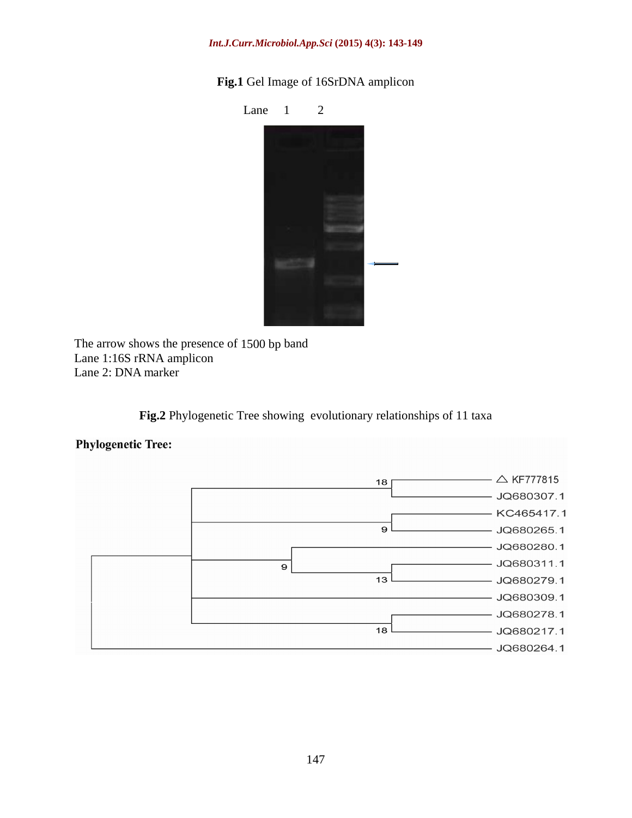### *Int.J.Curr.Microbiol.App.Sci* **(2015) 4(3): 143-149**

**Fig.1** Gel Image of 16SrDNA amplicon



The arrow shows the presence of 1500 bp band Lane 1:16S rRNA amplicon Lane 2: DNA marker

**Fig.2** Phylogenetic Tree showing evolutionary relationships of 11 taxa

## **Phylogenetic Tree:**

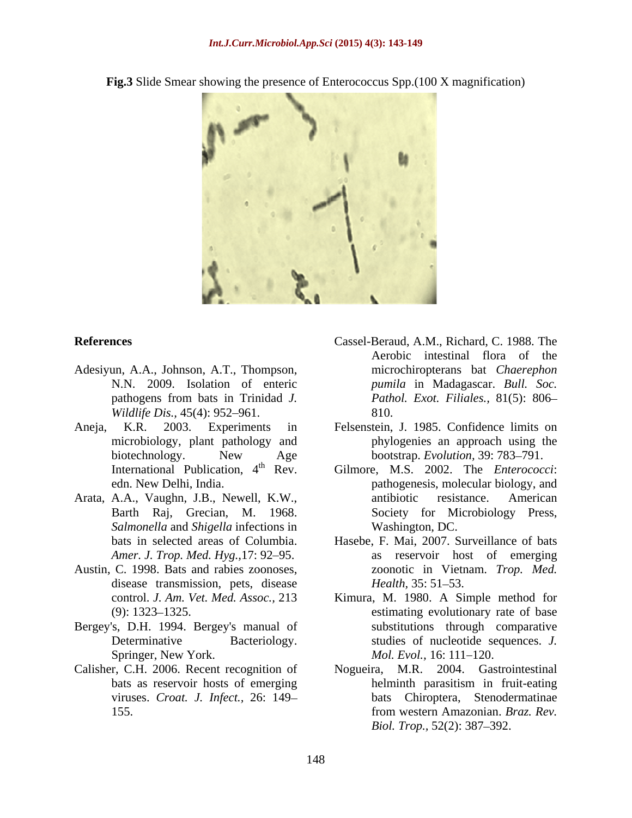**Fig.3** Slide Smear showing the presence of Enterococcus Spp.(100 X magnification)



- Adesiyun, A.A., Johnson, A.T., Thompson, pathogens from bats in Trinidad *J. Wildlife Dis.,* 45(4): 952–961. 810.
- 
- Barth Raj, Grecian, M. 1968. *Salmonella* and *Shigella* infections in
- Austin, C. 1998. Bats and rabies zoonoses, disease transmission, pets, disease *Health*, 35: 51–53.
- Bergey's, D.H. 1994. Bergey's manual of Springer, New York. Mol. Evol., 16: 111–120.
- Calisher, C.H. 2006. Recent recognition of
- **References** Cassel-Beraud, A.M., Richard, C. 1988. The N.N. 2009. Isolation of enteric *pumila* in Madagascar. *Bull. Soc.* Aerobic intestinal flora of the microchiropterans bat *Chaerephon Pathol. Exot. Filiales.,* 81(5): 806 810.
- Aneja, K.R. 2003. Experiments in Felsenstein, J. 1985. Confidence limits on microbiology, plant pathology and phylogenies an approach using the biotechnology. New Age bootstrap. Evolution, 39: 783–791. bootstrap. *Evolution*, 39: 783-791.
- International Publication, 4<sup>th</sup> Rev. Gilmore, M.S. 2002. The *Enterococci*: edn. New Delhi, India. pathogenesis, molecular biology, and Arata, A.A., Vaughn, J.B., Newell, K.W., antibiotic resistance. American Society for Microbiology Press, Washington, DC.
	- bats in selected areas of Columbia. Hasebe, F. Mai, 2007. Surveillance of bats Amer. J. Trop. Med. Hyg., 17: 92–95. as reservoir host of emerging zoonotic in Vietnam. *Trop. Med. Health,* 35: 51–53.
	- control. *J. Am. Vet. Med. Assoc.,* 213 Kimura, M. 1980. A Simple method for (9): 1323–1325. The estimating evolutionary rate of base Determinative Bacteriology. studies of nucleotide sequences. *J.* substitutions through comparative *Mol. Evol.,* 16: 111–120.
	- bats as reservoir hosts of emerging viruses. *Croat. J. Infect.,* 26: 149 bats Chiroptera, Stenodermatinae 155. **IDENTIFY** from western Amazonian. *Braz. Rev.* Nogueira, M.R. 2004. Gastrointestinal helminth parasitism in fruit-eating from western Amazonian. *Braz. Rev. Biol. Trop.,* 52(2): 387–392.